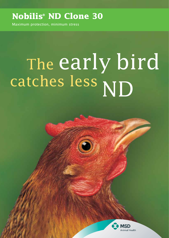# **Nobilis® ND Clone 30**

Maximum protection, minimum stress

# The early bird<br>catches less NID Catenes ress ND

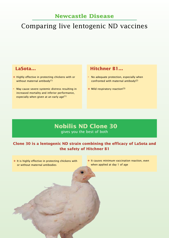#### **Newcastle Disease**

# Comparing live lentogenic ND vaccines

- **+** Highly effective in protecting chickens with or without maternal antibody $(1)$
- **-** May cause severe systemic distress resulting in increased mortality and inferior performance, especially when given at an early age $(1)$

#### **LaSota... Hitchner B1...**

- **-** No adequate protection, especially when confronted with maternal antibody(2)
- **+** Mild respiratory reaction(3)

#### **Nobilis ND Clone 30** gives you the best of both

#### **Clone 30 is a lentogenic ND strain combining the efficacy of LaSota and the safety of Hitchner B1**

- **+** It is highly effective in protecting chickens with or without maternal antibodies
- **+** It causes minimum vaccination reaction, even when applied at day 1 of age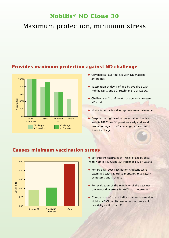### **Nobilis® ND Clone 30**

## Maximum protection, minimum stress



#### **Provides maximum protection against ND challenge**

- Commercial layer pullets with ND maternal antibodies
- Vaccination at day 1 of age by eye drop with Nobilis ND Clone 30, Hitchner B1, or LaSota
- Challenge at 2 or 6 weeks of age with velogenic ND strain
- Mortality and clinical symptoms were determined
- **Despite the high level of maternal antibodies,** Nobilis ND Clone 30 provides early and solid protection against ND challenge, at least until 6 weeks of age



Clone 30

LaSota

Hitchner B1 Nobilis ND

0.00

#### **Causes minimum vaccination stress**

- SPF chickens vaccinated at 1 week of age by spray with Nobilis ND Clone 30, Hitchner B1, or LaSota
- For 10 days post vaccination chickens were examined with regard to mortality, respiratory symptoms and sickness
- **•** For evaluation of the reactivity of the vaccines, the Weybridge stress index $(4)$  was determined
- Comparison of stress indices demonstrates that Nobilis ND Clone 30 possesses the same mild reactivity as Hitchner B1(5)